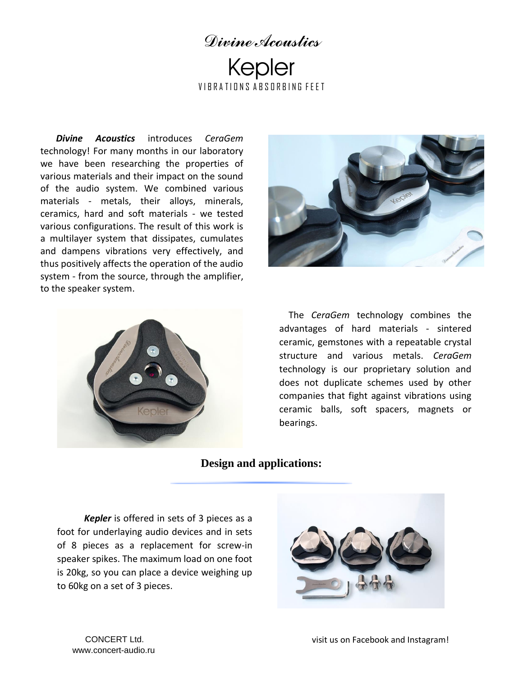## *Divine Acoustics* Kepler VIRRATIONS ARSORBING FFFT

*Divine Acoustics* introduces *CeraGem* technology! For many months in our laboratory we have been researching the properties of various materials and their impact on the sound of the audio system. We combined various materials - metals, their alloys, minerals, ceramics, hard and soft materials - we tested various configurations. The result of this work is a multilayer system that dissipates, cumulates and dampens vibrations very effectively, and thus positively affects the operation of the audio system - from the source, through the amplifier, to the speaker system.





 The *CeraGem* technology combines the advantages of hard materials - sintered ceramic, gemstones with a repeatable crystal structure and various metals. *CeraGem* technology is our proprietary solution and does not duplicate schemes used by other companies that fight against vibrations using ceramic balls, soft spacers, magnets or bearings.

## **Design and applications:**

 *Kepler* is offered in sets of 3 pieces as a foot for underlaying audio devices and in sets of 8 pieces as a replacement for screw-in speaker spikes. The maximum load on one foot is 20kg, so you can place a device weighing up to 60kg on a set of 3 pieces.



www.concert-audio.ru [CONCERT Ltd.](http://www.divineacoustics.com/)